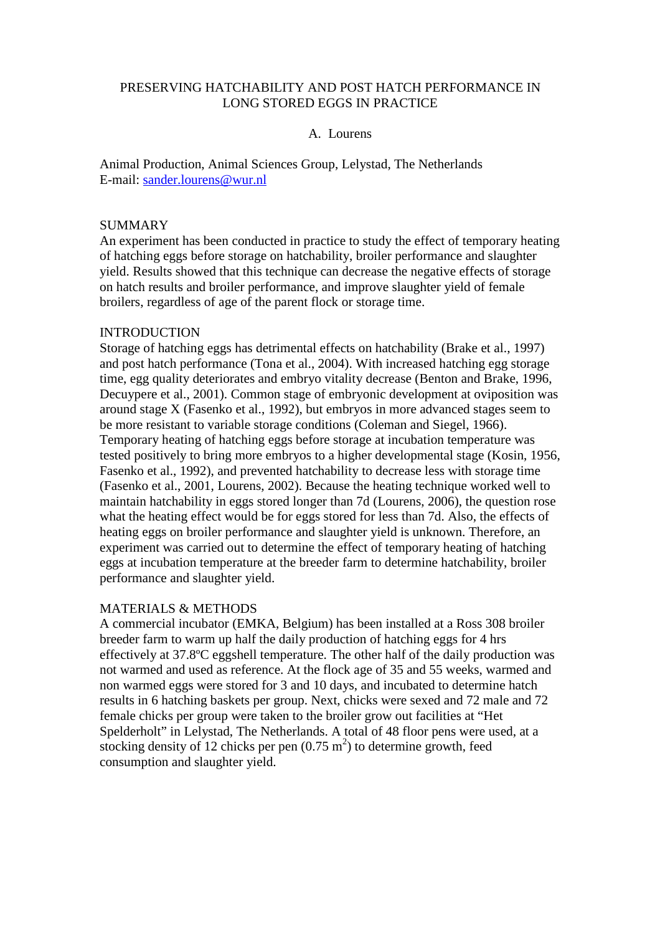# PRESERVING HATCHABILITY AND POST HATCH PERFORMANCE IN LONG STORED EGGS IN PRACTICE

## A. Lourens

Animal Production, Animal Sciences Group, Lelystad, The Netherlands E-mail: sander.lourens@wur.nl

## SUMMARY

An experiment has been conducted in practice to study the effect of temporary heating of hatching eggs before storage on hatchability, broiler performance and slaughter yield. Results showed that this technique can decrease the negative effects of storage on hatch results and broiler performance, and improve slaughter yield of female broilers, regardless of age of the parent flock or storage time.

#### INTRODUCTION

Storage of hatching eggs has detrimental effects on hatchability (Brake et al., 1997) and post hatch performance (Tona et al., 2004). With increased hatching egg storage time, egg quality deteriorates and embryo vitality decrease (Benton and Brake, 1996, Decuypere et al., 2001). Common stage of embryonic development at oviposition was around stage X (Fasenko et al., 1992), but embryos in more advanced stages seem to be more resistant to variable storage conditions (Coleman and Siegel, 1966). Temporary heating of hatching eggs before storage at incubation temperature was tested positively to bring more embryos to a higher developmental stage (Kosin, 1956, Fasenko et al., 1992), and prevented hatchability to decrease less with storage time (Fasenko et al., 2001, Lourens, 2002). Because the heating technique worked well to maintain hatchability in eggs stored longer than 7d (Lourens, 2006), the question rose what the heating effect would be for eggs stored for less than 7d. Also, the effects of heating eggs on broiler performance and slaughter yield is unknown. Therefore, an experiment was carried out to determine the effect of temporary heating of hatching eggs at incubation temperature at the breeder farm to determine hatchability, broiler performance and slaughter yield.

#### MATERIALS & METHODS

A commercial incubator (EMKA, Belgium) has been installed at a Ross 308 broiler breeder farm to warm up half the daily production of hatching eggs for 4 hrs effectively at 37.8ºC eggshell temperature. The other half of the daily production was not warmed and used as reference. At the flock age of 35 and 55 weeks, warmed and non warmed eggs were stored for 3 and 10 days, and incubated to determine hatch results in 6 hatching baskets per group. Next, chicks were sexed and 72 male and 72 female chicks per group were taken to the broiler grow out facilities at "Het Spelderholt" in Lelystad, The Netherlands. A total of 48 floor pens were used, at a stocking density of 12 chicks per pen  $(0.75 \text{ m}^2)$  to determine growth, feed consumption and slaughter yield.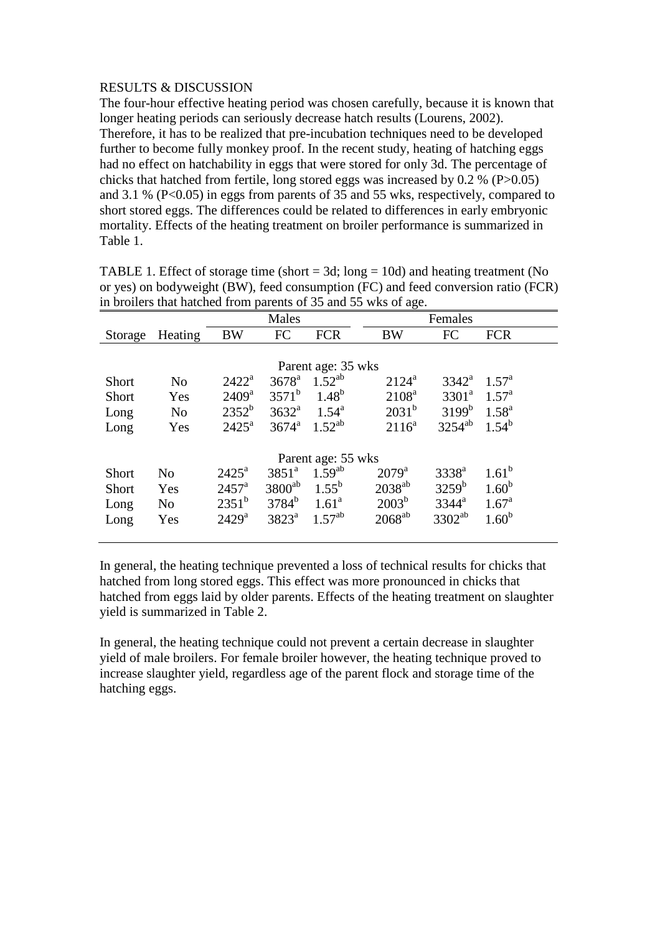# RESULTS & DISCUSSION

The four-hour effective heating period was chosen carefully, because it is known that longer heating periods can seriously decrease hatch results (Lourens, 2002). Therefore, it has to be realized that pre-incubation techniques need to be developed further to become fully monkey proof. In the recent study, heating of hatching eggs had no effect on hatchability in eggs that were stored for only 3d. The percentage of chicks that hatched from fertile, long stored eggs was increased by  $0.2\%$  (P $>0.05$ ) and 3.1 % (P<0.05) in eggs from parents of 35 and 55 wks, respectively, compared to short stored eggs. The differences could be related to differences in early embryonic mortality. Effects of the heating treatment on broiler performance is summarized in Table 1.

| in profiers that natched from parents of 33 and 33 wks of age. |                |                   |                     |                    |                     |                   |                |  |  |  |  |  |  |
|----------------------------------------------------------------|----------------|-------------------|---------------------|--------------------|---------------------|-------------------|----------------|--|--|--|--|--|--|
|                                                                |                | Males             |                     |                    |                     |                   |                |  |  |  |  |  |  |
| Storage                                                        | Heating        | <b>BW</b>         | FC                  | <b>FCR</b>         | <b>BW</b>           | FC                | <b>FCR</b>     |  |  |  |  |  |  |
|                                                                |                |                   |                     |                    |                     |                   |                |  |  |  |  |  |  |
| Parent age: 35 wks                                             |                |                   |                     |                    |                     |                   |                |  |  |  |  |  |  |
| Short                                                          | N <sub>o</sub> | $2422^{\rm a}$    | $3678$ <sup>a</sup> | $1.52^{ab}$        | $2124^a$            | $3342^{\rm a}$    | $1.57^{\rm a}$ |  |  |  |  |  |  |
| Short                                                          | Yes            | 2409 <sup>a</sup> | $3571^b$            | $1.48^{b}$         | 2108 <sup>a</sup>   | 3301 <sup>a</sup> | $1.57^{\rm a}$ |  |  |  |  |  |  |
| Long                                                           | N <sub>o</sub> | $2352^b$          | $3632^{\rm a}$      | $1.54^{\circ}$     | $2031^b$            | 3199 <sup>b</sup> | $1.58^{a}$     |  |  |  |  |  |  |
| Long                                                           | Yes            | $2425^{\rm a}$    | $3674^{\rm a}$      | $1.52^{ab}$        | $2116^a$            | $3254^{ab}$       | $1.54^{b}$     |  |  |  |  |  |  |
|                                                                |                |                   |                     |                    |                     |                   |                |  |  |  |  |  |  |
| Parent age: 55 wks                                             |                |                   |                     |                    |                     |                   |                |  |  |  |  |  |  |
| Short                                                          | N <sub>o</sub> | $2425^{\rm a}$    | 3851 <sup>a</sup>   | 1.59 <sup>ab</sup> | $2079^{\mathrm{a}}$ | 3338 <sup>a</sup> | $1.61^b$       |  |  |  |  |  |  |
| Short                                                          | Yes            | $2457^{\rm a}$    | $3800^{ab}$         | $1.55^{\rm b}$     | $2038^{ab}$         | 3259 <sup>b</sup> | $1.60^b$       |  |  |  |  |  |  |
| Long                                                           | N <sub>o</sub> | $2351^b$          | $3784^b$            | $1.61^a$           | 2003 <sup>b</sup>   | $3344^a$          | $1.67^{\rm a}$ |  |  |  |  |  |  |
| Long                                                           | Yes            | $2429^{\rm a}$    | $3823^a$            | 1.57 <sup>ab</sup> | $2068^{ab}$         | $3302^{ab}$       | $1.60^b$       |  |  |  |  |  |  |
|                                                                |                |                   |                     |                    |                     |                   |                |  |  |  |  |  |  |

TABLE 1. Effect of storage time (short  $=$  3d; long  $=$  10d) and heating treatment (No or yes) on bodyweight (BW), feed consumption (FC) and feed conversion ratio (FCR) in hesilog that hataked from generic of  $35$  and  $55$  when feed in broadcast  $\overline{25}$  and  $\overline{55}$  who of

In general, the heating technique prevented a loss of technical results for chicks that hatched from long stored eggs. This effect was more pronounced in chicks that hatched from eggs laid by older parents. Effects of the heating treatment on slaughter yield is summarized in Table 2.

In general, the heating technique could not prevent a certain decrease in slaughter yield of male broilers. For female broiler however, the heating technique proved to increase slaughter yield, regardless age of the parent flock and storage time of the hatching eggs.